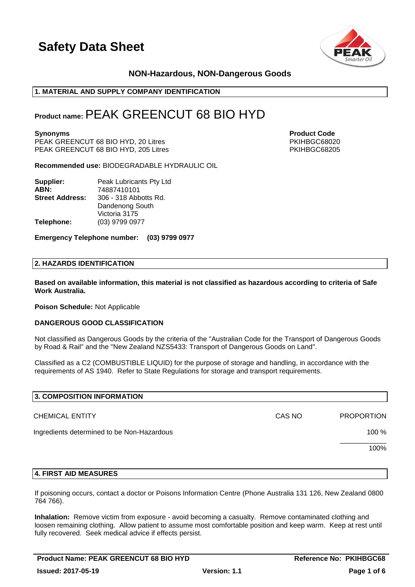

## **NON-Hazardous, NON-Dangerous Goods**

### **1. MATERIAL AND SUPPLY COMPANY IDENTIFICATION**

# **Product name:**PEAK GREENCUT 68 BIO HYD

PEAK GREENCUT 68 BIO HYD, 20 Litres PEAK (PEAK PEAK PKIHBGC68020 PKIHBGC68205)<br>PEAK GREENCUT 68 BIO HYD. 205 Litres PEAK GREENCUT 68 BIO HYD, 205 Litres

**Recommended use:** BIODEGRADABLE HYDRAULIC OIL

| Supplier:              | Peak Lubricants Pty Ltd |
|------------------------|-------------------------|
| ABN:                   | 74887410101             |
| <b>Street Address:</b> | 306 - 318 Abbotts Rd.   |
|                        | Dandenong South         |
|                        | Victoria 3175           |
| Telephone:             | (03) 9799 0977          |

**Emergency Telephone number: (03) 9799 0977**

#### **2. HAZARDS IDENTIFICATION**

**Based on available information, this material is not classified as hazardous according to criteria of Safe Work Australia.**

**Poison Schedule:** Not Applicable

#### **DANGEROUS GOOD CLASSIFICATION**

Not classified as Dangerous Goods by the criteria of the "Australian Code for the Transport of Dangerous Goods by Road & Rail" and the "New Zealand NZS5433: Transport of Dangerous Goods on Land".

Classified as a C2 (COMBUSTIBLE LIQUID) for the purpose of storage and handling, in accordance with the requirements of AS 1940. Refer to State Regulations for storage and transport requirements.

| 3. COMPOSITION INFORMATION                 |        |                   |
|--------------------------------------------|--------|-------------------|
| <b>CHEMICAL ENTITY</b>                     | CAS NO | <b>PROPORTION</b> |
| Ingredients determined to be Non-Hazardous |        | 100 %             |
|                                            |        | 100%              |
|                                            |        |                   |

#### **4. FIRST AID MEASURES**

If poisoning occurs, contact a doctor or Poisons Information Centre (Phone Australia 131 126, New Zealand 0800 764 766).

**Inhalation:** Remove victim from exposure - avoid becoming a casualty. Remove contaminated clothing and loosen remaining clothing. Allow patient to assume most comfortable position and keep warm. Keep at rest until fully recovered. Seek medical advice if effects persist.

**Synonyms Product Code**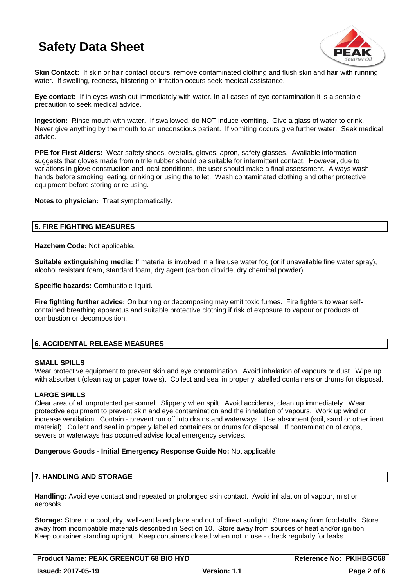

**Skin Contact:** If skin or hair contact occurs, remove contaminated clothing and flush skin and hair with running water. If swelling, redness, blistering or irritation occurs seek medical assistance.

**Eye contact:** If in eyes wash out immediately with water. In all cases of eye contamination it is a sensible precaution to seek medical advice.

**Ingestion:** Rinse mouth with water. If swallowed, do NOT induce vomiting. Give a glass of water to drink. Never give anything by the mouth to an unconscious patient. If vomiting occurs give further water. Seek medical advice.

**PPE for First Aiders:** Wear safety shoes, overalls, gloves, apron, safety glasses. Available information suggests that gloves made from nitrile rubber should be suitable for intermittent contact. However, due to variations in glove construction and local conditions, the user should make a final assessment. Always wash hands before smoking, eating, drinking or using the toilet. Wash contaminated clothing and other protective equipment before storing or re-using.

**Notes to physician:** Treat symptomatically.

## **5. FIRE FIGHTING MEASURES**

**Hazchem Code:** Not applicable.

**Suitable extinguishing media:** If material is involved in a fire use water fog (or if unavailable fine water spray), alcohol resistant foam, standard foam, dry agent (carbon dioxide, dry chemical powder).

**Specific hazards:** Combustible liquid.

**Fire fighting further advice:** On burning or decomposing may emit toxic fumes. Fire fighters to wear selfcontained breathing apparatus and suitable protective clothing if risk of exposure to vapour or products of combustion or decomposition.

### **6. ACCIDENTAL RELEASE MEASURES**

#### **SMALL SPILLS**

Wear protective equipment to prevent skin and eye contamination. Avoid inhalation of vapours or dust. Wipe up with absorbent (clean rag or paper towels). Collect and seal in properly labelled containers or drums for disposal.

### **LARGE SPILLS**

Clear area of all unprotected personnel. Slippery when spilt. Avoid accidents, clean up immediately. Wear protective equipment to prevent skin and eye contamination and the inhalation of vapours. Work up wind or increase ventilation. Contain - prevent run off into drains and waterways. Use absorbent (soil, sand or other inert material). Collect and seal in properly labelled containers or drums for disposal. If contamination of crops, sewers or waterways has occurred advise local emergency services.

#### **Dangerous Goods - Initial Emergency Response Guide No:** Not applicable

#### **7. HANDLING AND STORAGE**

**Handling:** Avoid eye contact and repeated or prolonged skin contact. Avoid inhalation of vapour, mist or aerosols.

**Storage:** Store in a cool, dry, well-ventilated place and out of direct sunlight. Store away from foodstuffs. Store away from incompatible materials described in Section 10. Store away from sources of heat and/or ignition. Keep container standing upright. Keep containers closed when not in use - check regularly for leaks.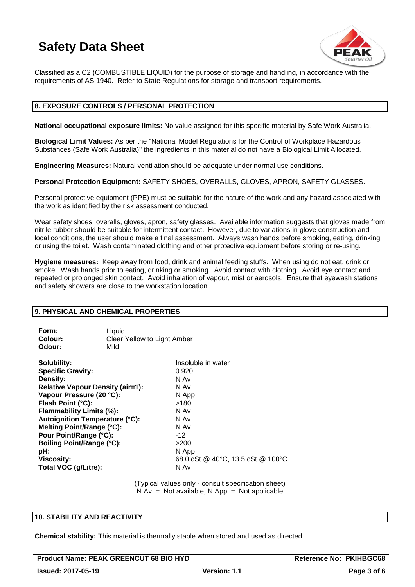

Classified as a C2 (COMBUSTIBLE LIQUID) for the purpose of storage and handling, in accordance with the requirements of AS 1940. Refer to State Regulations for storage and transport requirements.

#### **8. EXPOSURE CONTROLS / PERSONAL PROTECTION**

**National occupational exposure limits:** No value assigned for this specific material by Safe Work Australia.

**Biological Limit Values:** As per the "National Model Regulations for the Control of Workplace Hazardous Substances (Safe Work Australia)" the ingredients in this material do not have a Biological Limit Allocated.

**Engineering Measures:** Natural ventilation should be adequate under normal use conditions.

**Personal Protection Equipment:** SAFETY SHOES, OVERALLS, GLOVES, APRON, SAFETY GLASSES.

Personal protective equipment (PPE) must be suitable for the nature of the work and any hazard associated with the work as identified by the risk assessment conducted.

Wear safety shoes, overalls, gloves, apron, safety glasses. Available information suggests that gloves made from nitrile rubber should be suitable for intermittent contact. However, due to variations in glove construction and local conditions, the user should make a final assessment. Always wash hands before smoking, eating, drinking or using the toilet. Wash contaminated clothing and other protective equipment before storing or re-using.

**Hygiene measures:** Keep away from food, drink and animal feeding stuffs. When using do not eat, drink or smoke. Wash hands prior to eating, drinking or smoking. Avoid contact with clothing. Avoid eye contact and repeated or prolonged skin contact. Avoid inhalation of vapour, mist or aerosols. Ensure that eyewash stations and safety showers are close to the workstation location.

#### **9. PHYSICAL AND CHEMICAL PROPERTIES**

| Form:                                               | Liquid                      |
|-----------------------------------------------------|-----------------------------|
| Colour:                                             | Clear Yellow to Light Amber |
| Odour:                                              | Mild                        |
| $\mathbf{A}$ . In the first section of $\mathbf{A}$ | 1 1 . 1 1                   |

**Solubility:** Insoluble in water **Specific Gravity:** 0.920 **Density:** N Av **Relative Vapour Density (air=1):** N Av **Vapour Pressure (20 °C):** N App **Flash Point (°C):** >180 **Flammability Limits (%):** N Av **Autoignition Temperature (°C):** N Av **Melting Point/Range (°C):** N Av Pour Point/Range (°C): 42 **Boiling Point/Range (°C):** >200 **pH:** N App **Viscosity:** 68.0 cSt @ 40°C, 13.5 cSt @ 100°C **Total VOC (g/Litre):** N Av

> (Typical values only - consult specification sheet)  $N Av = Not available, N App = Not applicable$

#### **10. STABILITY AND REACTIVITY**

**Chemical stability:** This material is thermally stable when stored and used as directed.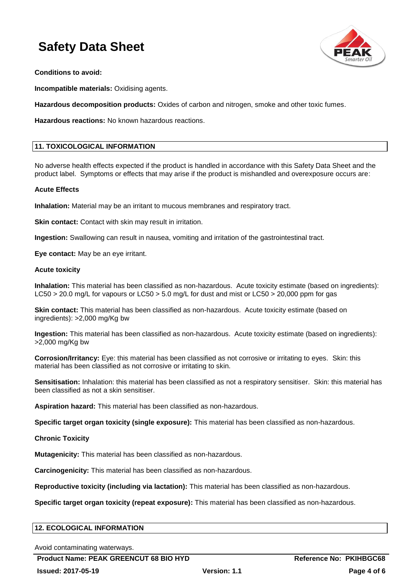

**Conditions to avoid:**

**Incompatible materials:** Oxidising agents.

**Hazardous decomposition products:** Oxides of carbon and nitrogen, smoke and other toxic fumes.

**Hazardous reactions:** No known hazardous reactions.

#### **11. TOXICOLOGICAL INFORMATION**

No adverse health effects expected if the product is handled in accordance with this Safety Data Sheet and the product label. Symptoms or effects that may arise if the product is mishandled and overexposure occurs are:

#### **Acute Effects**

**Inhalation:** Material may be an irritant to mucous membranes and respiratory tract.

**Skin contact:** Contact with skin may result in irritation.

**Ingestion:** Swallowing can result in nausea, vomiting and irritation of the gastrointestinal tract.

**Eye contact:** May be an eye irritant.

#### **Acute toxicity**

**Inhalation:** This material has been classified as non-hazardous. Acute toxicity estimate (based on ingredients): LC50 > 20.0 mg/L for vapours or LC50 > 5.0 mg/L for dust and mist or LC50 > 20,000 ppm for gas

**Skin contact:** This material has been classified as non-hazardous. Acute toxicity estimate (based on ingredients): >2,000 mg/Kg bw

**Ingestion:** This material has been classified as non-hazardous. Acute toxicity estimate (based on ingredients): >2,000 mg/Kg bw

**Corrosion/Irritancy:** Eye: this material has been classified as not corrosive or irritating to eyes. Skin: this material has been classified as not corrosive or irritating to skin.

**Sensitisation:** Inhalation: this material has been classified as not a respiratory sensitiser. Skin: this material has been classified as not a skin sensitiser.

**Aspiration hazard:** This material has been classified as non-hazardous.

**Specific target organ toxicity (single exposure):** This material has been classified as non-hazardous.

**Chronic Toxicity**

**Mutagenicity:** This material has been classified as non-hazardous.

**Carcinogenicity:** This material has been classified as non-hazardous.

**Reproductive toxicity (including via lactation):** This material has been classified as non-hazardous.

**Specific target organ toxicity (repeat exposure):** This material has been classified as non-hazardous.

#### **12. ECOLOGICAL INFORMATION**

Avoid contaminating waterways.

Product Name: PEAK GREENCUT 68 BIO HYD **Reference No: PKIHBGC68**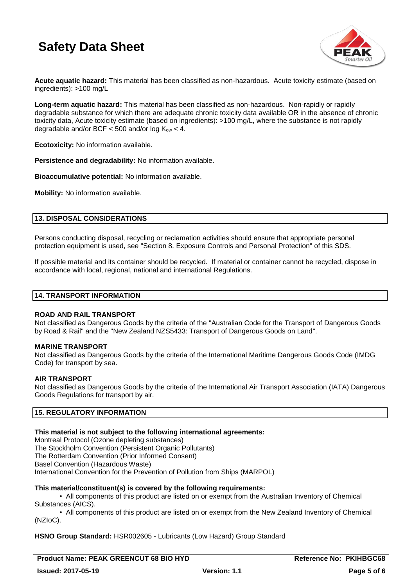

**Acute aquatic hazard:** This material has been classified as non-hazardous. Acute toxicity estimate (based on ingredients): >100 mg/L

**Long-term aquatic hazard:** This material has been classified as non-hazardous. Non-rapidly or rapidly degradable substance for which there are adequate chronic toxicity data available OR in the absence of chronic toxicity data, Acute toxicity estimate (based on ingredients): >100 mg/L, where the substance is not rapidly degradable and/or BCF  $<$  500 and/or log  $K_{ow}$   $<$  4.

**Ecotoxicity:** No information available.

**Persistence and degradability:** No information available.

**Bioaccumulative potential:** No information available.

**Mobility:** No information available.

### **13. DISPOSAL CONSIDERATIONS**

Persons conducting disposal, recycling or reclamation activities should ensure that appropriate personal protection equipment is used, see "Section 8. Exposure Controls and Personal Protection" of this SDS.

If possible material and its container should be recycled. If material or container cannot be recycled, dispose in accordance with local, regional, national and international Regulations.

#### **14. TRANSPORT INFORMATION**

#### **ROAD AND RAIL TRANSPORT**

Not classified as Dangerous Goods by the criteria of the "Australian Code for the Transport of Dangerous Goods by Road & Rail" and the "New Zealand NZS5433: Transport of Dangerous Goods on Land".

#### **MARINE TRANSPORT**

Not classified as Dangerous Goods by the criteria of the International Maritime Dangerous Goods Code (IMDG Code) for transport by sea.

#### **AIR TRANSPORT**

Not classified as Dangerous Goods by the criteria of the International Air Transport Association (IATA) Dangerous Goods Regulations for transport by air.

#### **15. REGULATORY INFORMATION**

#### **This material is not subject to the following international agreements:**

Montreal Protocol (Ozone depleting substances) The Stockholm Convention (Persistent Organic Pollutants) The Rotterdam Convention (Prior Informed Consent) Basel Convention (Hazardous Waste) International Convention for the Prevention of Pollution from Ships (MARPOL)

#### **This material/constituent(s) is covered by the following requirements:**

• All components of this product are listed on or exempt from the Australian Inventory of Chemical Substances (AICS).

• All components of this product are listed on or exempt from the New Zealand Inventory of Chemical (NZIoC).

#### **HSNO Group Standard:** HSR002605 - Lubricants (Low Hazard) Group Standard